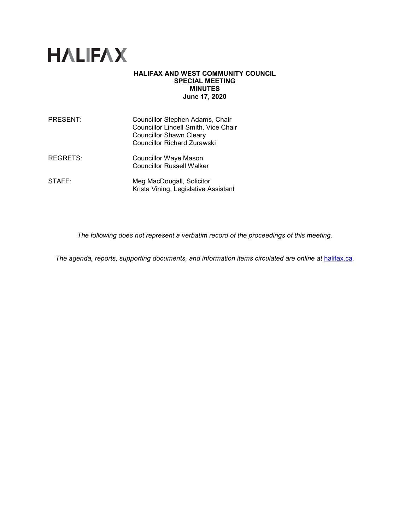

#### **HALIFAX AND WEST COMMUNITY COUNCIL SPECIAL MEETING MINUTES June 17, 2020**

| <b>PRESENT:</b> | Councillor Stephen Adams, Chair<br>Councillor Lindell Smith, Vice Chair<br><b>Councillor Shawn Cleary</b><br><b>Councillor Richard Zurawski</b> |
|-----------------|-------------------------------------------------------------------------------------------------------------------------------------------------|
| <b>REGRETS:</b> | <b>Councillor Waye Mason</b><br><b>Councillor Russell Walker</b>                                                                                |
| STAFF:          | Meg MacDougall, Solicitor<br>Krista Vining, Legislative Assistant                                                                               |

*The following does not represent a verbatim record of the proceedings of this meeting.*

*The agenda, reports, supporting documents, and information items circulated are online at [halifax.ca](http://www.halifax.ca/).*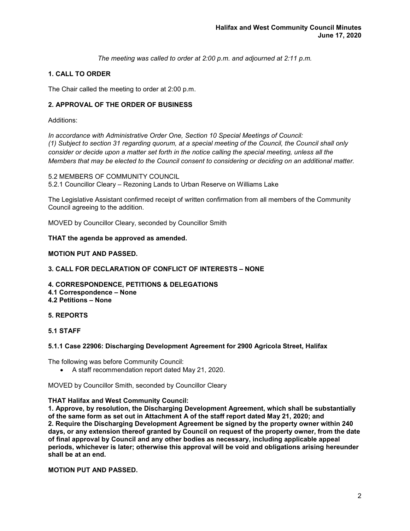*The meeting was called to order at 2:00 p.m. and adjourned at 2:11 p.m.*

# **1. CALL TO ORDER**

The Chair called the meeting to order at 2:00 p.m.

# **2. APPROVAL OF THE ORDER OF BUSINESS**

#### Additions:

*In accordance with Administrative Order One, Section 10 Special Meetings of Council: (1) Subject to section 31 regarding quorum, at a special meeting of the Council, the Council shall only consider or decide upon a matter set forth in the notice calling the special meeting, unless all the Members that may be elected to the Council consent to considering or deciding on an additional matter.*

5.2 MEMBERS OF COMMUNITY COUNCIL 5.2.1 Councillor Cleary – Rezoning Lands to Urban Reserve on Williams Lake

The Legislative Assistant confirmed receipt of written confirmation from all members of the Community Council agreeing to the addition.

MOVED by Councillor Cleary, seconded by Councillor Smith

# **THAT the agenda be approved as amended.**

# **MOTION PUT AND PASSED.**

# **3. CALL FOR DECLARATION OF CONFLICT OF INTERESTS – NONE**

- **4. CORRESPONDENCE, PETITIONS & DELEGATIONS**
- **4.1 Correspondence – None 4.2 Petitions – None**

# **5. REPORTS**

**5.1 STAFF**

#### **5.1.1 Case 22906: Discharging Development Agreement for 2900 Agricola Street, Halifax**

The following was before Community Council:

• A staff recommendation report dated May 21, 2020.

MOVED by Councillor Smith, seconded by Councillor Cleary

#### **THAT Halifax and West Community Council:**

**1. Approve, by resolution, the Discharging Development Agreement, which shall be substantially of the same form as set out in Attachment A of the staff report dated May 21, 2020; and 2. Require the Discharging Development Agreement be signed by the property owner within 240 days, or any extension thereof granted by Council on request of the property owner, from the date of final approval by Council and any other bodies as necessary, including applicable appeal periods, whichever is later; otherwise this approval will be void and obligations arising hereunder shall be at an end.** 

**MOTION PUT AND PASSED.**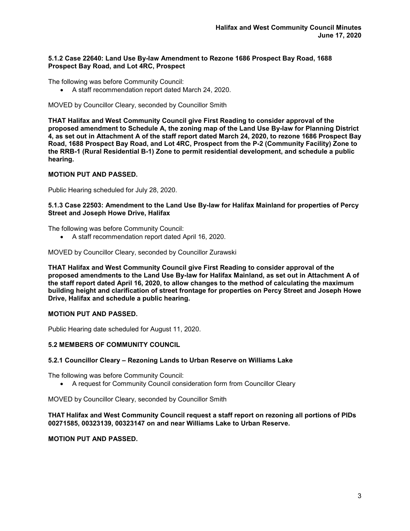#### **5.1.2 Case 22640: Land Use By-law Amendment to Rezone 1686 Prospect Bay Road, 1688 Prospect Bay Road, and Lot 4RC, Prospect**

The following was before Community Council:

• A staff recommendation report dated March 24, 2020.

MOVED by Councillor Cleary, seconded by Councillor Smith

**THAT Halifax and West Community Council give First Reading to consider approval of the proposed amendment to Schedule A, the zoning map of the Land Use By-law for Planning District 4, as set out in Attachment A of the staff report dated March 24, 2020, to rezone 1686 Prospect Bay Road, 1688 Prospect Bay Road, and Lot 4RC, Prospect from the P-2 (Community Facility) Zone to the RRB-1 (Rural Residential B-1) Zone to permit residential development, and schedule a public hearing.**

# **MOTION PUT AND PASSED.**

Public Hearing scheduled for July 28, 2020.

# **5.1.3 Case 22503: Amendment to the Land Use By-law for Halifax Mainland for properties of Percy Street and Joseph Howe Drive, Halifax**

The following was before Community Council:

• A staff recommendation report dated April 16, 2020.

MOVED by Councillor Cleary, seconded by Councillor Zurawski

**THAT Halifax and West Community Council give First Reading to consider approval of the proposed amendments to the Land Use By-law for Halifax Mainland, as set out in Attachment A of the staff report dated April 16, 2020, to allow changes to the method of calculating the maximum building height and clarification of street frontage for properties on Percy Street and Joseph Howe Drive, Halifax and schedule a public hearing.**

#### **MOTION PUT AND PASSED.**

Public Hearing date scheduled for August 11, 2020.

# **5.2 MEMBERS OF COMMUNITY COUNCIL**

#### **5.2.1 Councillor Cleary – Rezoning Lands to Urban Reserve on Williams Lake**

The following was before Community Council:

• A request for Community Council consideration form from Councillor Cleary

MOVED by Councillor Cleary, seconded by Councillor Smith

# **THAT Halifax and West Community Council request a staff report on rezoning all portions of PIDs 00271585, 00323139, 00323147 on and near Williams Lake to Urban Reserve.**

#### **MOTION PUT AND PASSED.**